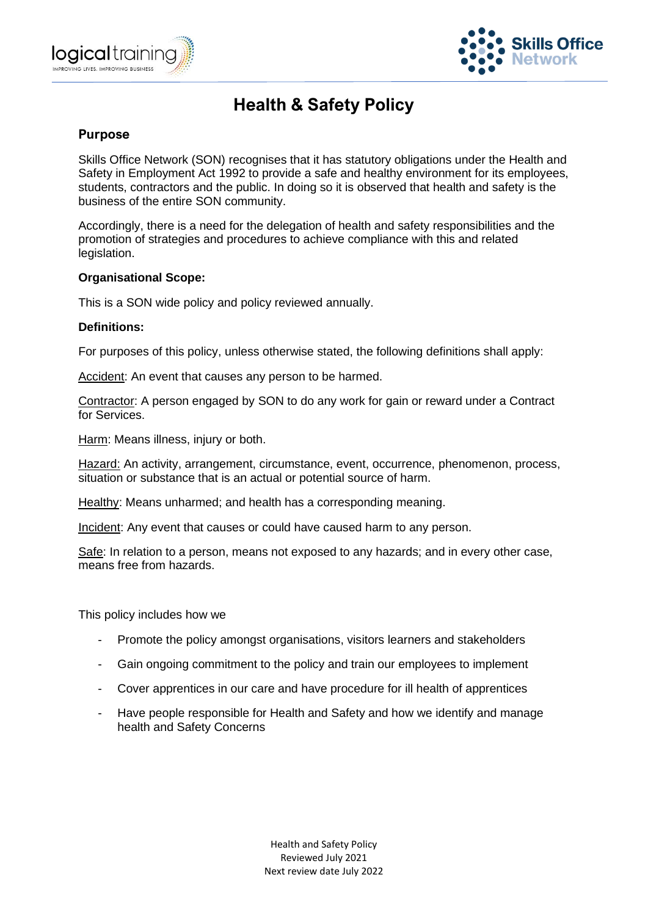



# **Health & Safety Policy**

## **Purpose**

Skills Office Network (SON) recognises that it has statutory obligations under the Health and Safety in Employment Act 1992 to provide a safe and healthy environment for its employees, students, contractors and the public. In doing so it is observed that health and safety is the business of the entire SON community.

Accordingly, there is a need for the delegation of health and safety responsibilities and the promotion of strategies and procedures to achieve compliance with this and related legislation.

#### **Organisational Scope:**

This is a SON wide policy and policy reviewed annually.

#### **Definitions:**

For purposes of this policy, unless otherwise stated, the following definitions shall apply:

Accident: An event that causes any person to be harmed.

Contractor: A person engaged by SON to do any work for gain or reward under a Contract for Services.

Harm: Means illness, injury or both.

Hazard: An activity, arrangement, circumstance, event, occurrence, phenomenon, process, situation or substance that is an actual or potential source of harm.

Healthy: Means unharmed; and health has a corresponding meaning.

Incident: Any event that causes or could have caused harm to any person.

Safe: In relation to a person, means not exposed to any hazards; and in every other case, means free from hazards.

This policy includes how we

- Promote the policy amongst organisations, visitors learners and stakeholders
- Gain ongoing commitment to the policy and train our employees to implement
- Cover apprentices in our care and have procedure for ill health of apprentices
- Have people responsible for Health and Safety and how we identify and manage health and Safety Concerns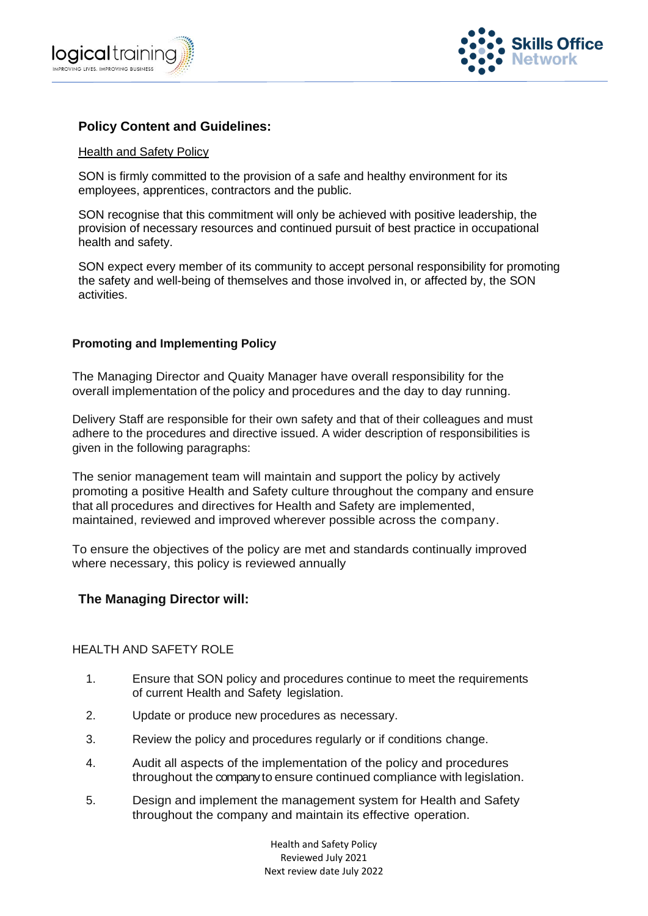



# **Policy Content and Guidelines:**

#### Health and Safety Policy

SON is firmly committed to the provision of a safe and healthy environment for its employees, apprentices, contractors and the public.

SON recognise that this commitment will only be achieved with positive leadership, the provision of necessary resources and continued pursuit of best practice in occupational health and safety.

SON expect every member of its community to accept personal responsibility for promoting the safety and well-being of themselves and those involved in, or affected by, the SON activities.

#### **Promoting and Implementing Policy**

The Managing Director and Quaity Manager have overall responsibility for the overall implementation of the policy and procedures and the day to day running.

Delivery Staff are responsible for their own safety and that of their colleagues and must adhere to the procedures and directive issued. A wider description of responsibilities is given in the following paragraphs:

The senior management team will maintain and support the policy by actively promoting a positive Health and Safety culture throughout the company and ensure that all procedures and directives for Health and Safety are implemented, maintained, reviewed and improved wherever possible across the company.

To ensure the objectives of the policy are met and standards continually improved where necessary, this policy is reviewed annually

## **The Managing Director will:**

## HEALTH AND SAFETY ROLE

- 1. Ensure that SON policy and procedures continue to meet the requirements of current Health and Safety legislation.
- 2. Update or produce new procedures as necessary.
- 3. Review the policy and procedures regularly or if conditions change.
- 4. Audit all aspects of the implementation of the policy and procedures throughout the companyto ensure continued compliance with legislation.
- 5. Design and implement the management system for Health and Safety throughout the company and maintain its effective operation.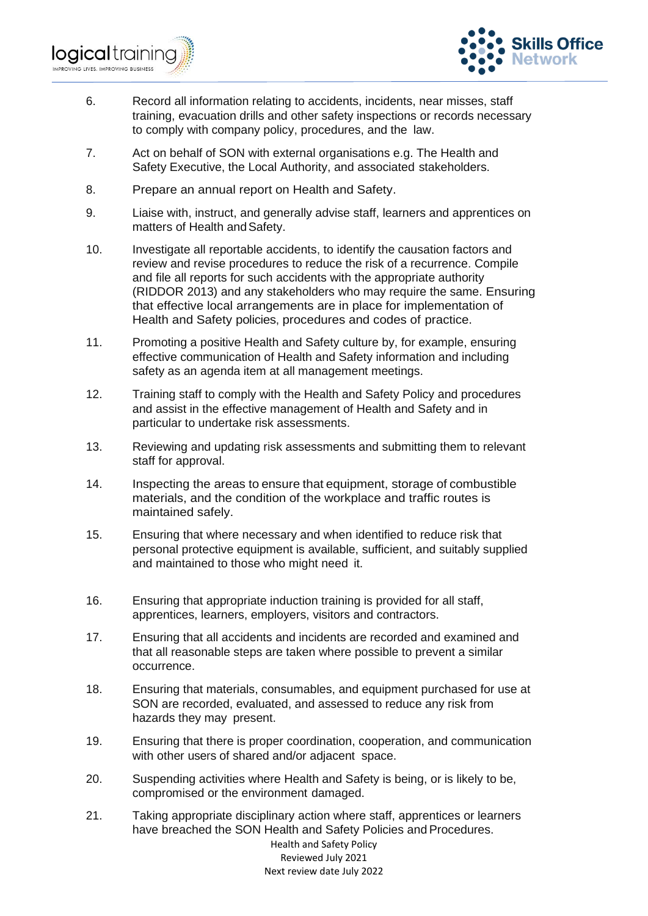

- 6. Record all information relating to accidents, incidents, near misses, staff training, evacuation drills and other safety inspections or records necessary to comply with company policy, procedures, and the law.
- 7. Act on behalf of SON with external organisations e.g. The Health and Safety Executive, the Local Authority, and associated stakeholders.
- 8. Prepare an annual report on Health and Safety.
- 9. Liaise with, instruct, and generally advise staff, learners and apprentices on matters of Health and Safety.
- 10. Investigate all reportable accidents, to identify the causation factors and review and revise procedures to reduce the risk of a recurrence. Compile and file all reports for such accidents with the appropriate authority (RIDDOR 2013) and any stakeholders who may require the same. Ensuring that effective local arrangements are in place for implementation of Health and Safety policies, procedures and codes of practice.
- 11. Promoting a positive Health and Safety culture by, for example, ensuring effective communication of Health and Safety information and including safety as an agenda item at all management meetings.
- 12. Training staff to comply with the Health and Safety Policy and procedures and assist in the effective management of Health and Safety and in particular to undertake risk assessments.
- 13. Reviewing and updating risk assessments and submitting them to relevant staff for approval.
- 14. Inspecting the areas to ensure that equipment, storage of combustible materials, and the condition of the workplace and traffic routes is maintained safely.
- 15. Ensuring that where necessary and when identified to reduce risk that personal protective equipment is available, sufficient, and suitably supplied and maintained to those who might need it.
- 16. Ensuring that appropriate induction training is provided for all staff, apprentices, learners, employers, visitors and contractors.
- 17. Ensuring that all accidents and incidents are recorded and examined and that all reasonable steps are taken where possible to prevent a similar occurrence.
- 18. Ensuring that materials, consumables, and equipment purchased for use at SON are recorded, evaluated, and assessed to reduce any risk from hazards they may present.
- 19. Ensuring that there is proper coordination, cooperation, and communication with other users of shared and/or adjacent space.
- 20. Suspending activities where Health and Safety is being, or is likely to be, compromised or the environment damaged.
- 21. Taking appropriate disciplinary action where staff, apprentices or learners have breached the SON Health and Safety Policies and Procedures.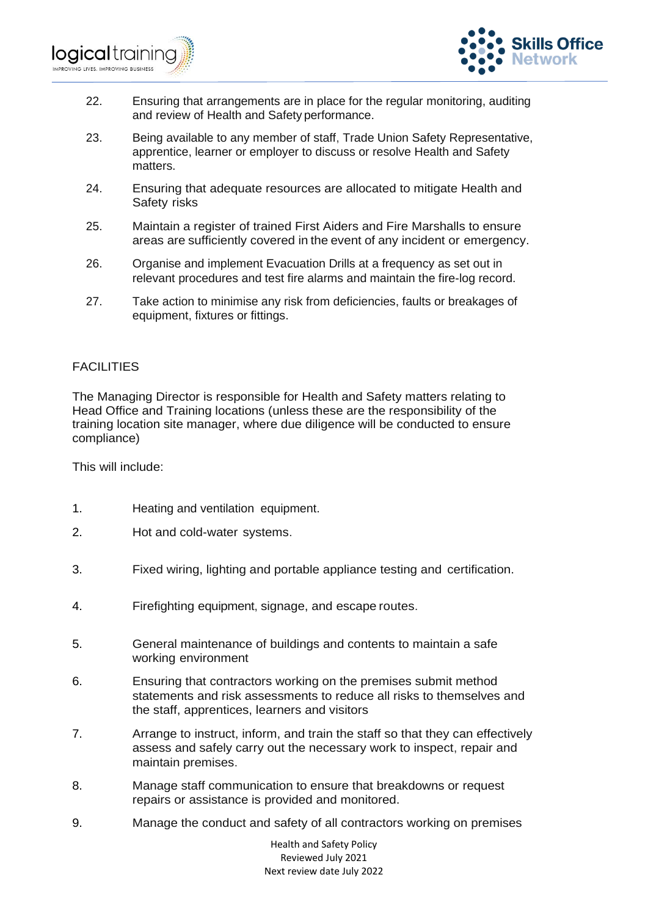

- 22. Ensuring that arrangements are in place for the regular monitoring, auditing and review of Health and Safety performance.
- 23. Being available to any member of staff, Trade Union Safety Representative, apprentice, learner or employer to discuss or resolve Health and Safety matters.
- 24. Ensuring that adequate resources are allocated to mitigate Health and Safety risks
- 25. Maintain a register of trained First Aiders and Fire Marshalls to ensure areas are sufficiently covered in the event of any incident or emergency.
- 26. Organise and implement Evacuation Drills at a frequency as set out in relevant procedures and test fire alarms and maintain the fire-log record.
- 27. Take action to minimise any risk from deficiencies, faults or breakages of equipment, fixtures or fittings.

# FACILITIES

The Managing Director is responsible for Health and Safety matters relating to Head Office and Training locations (unless these are the responsibility of the training location site manager, where due diligence will be conducted to ensure compliance)

This will include:

- 1. Heating and ventilation equipment.
- 2. Hot and cold-water systems.
- 3. Fixed wiring, lighting and portable appliance testing and certification.
- 4. Firefighting equipment, signage, and escape routes.
- 5. General maintenance of buildings and contents to maintain a safe working environment
- 6. Ensuring that contractors working on the premises submit method statements and risk assessments to reduce all risks to themselves and the staff, apprentices, learners and visitors
- 7. Arrange to instruct, inform, and train the staff so that they can effectively assess and safely carry out the necessary work to inspect, repair and maintain premises.
- 8. Manage staff communication to ensure that breakdowns or request repairs or assistance is provided and monitored.
- 9. Manage the conduct and safety of all contractors working on premises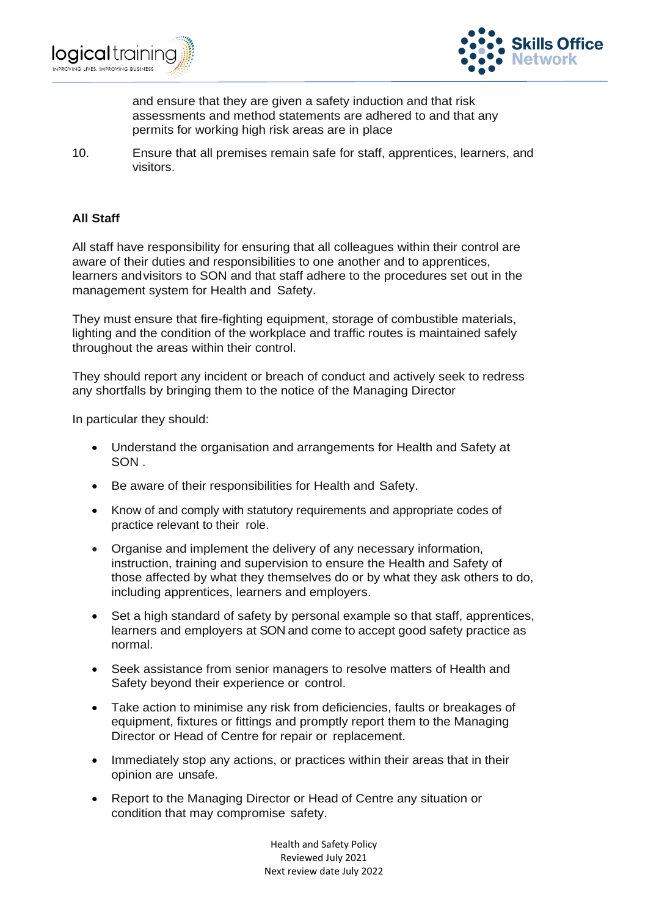



and ensure that they are given a safety induction and that risk assessments and method statements are adhered to and that any permits for working high risk areas are in place

10. Ensure that all premises remain safe for staff, apprentices, learners, and visitors.

## **All Staff**

All staff have responsibility for ensuring that all colleagues within their control are aware of their duties and responsibilities to one another and to apprentices, learners andvisitors to SON and that staff adhere to the procedures set out in the management system for Health and Safety.

They must ensure that fire-fighting equipment, storage of combustible materials, lighting and the condition of the workplace and traffic routes is maintained safely throughout the areas within their control.

They should report any incident or breach of conduct and actively seek to redress any shortfalls by bringing them to the notice of the Managing Director

In particular they should:

- Understand the organisation and arrangements for Health and Safety at SON .
- Be aware of their responsibilities for Health and Safety.
- Know of and comply with statutory requirements and appropriate codes of practice relevant to their role.
- Organise and implement the delivery of any necessary information, instruction, training and supervision to ensure the Health and Safety of those affected by what they themselves do or by what they ask others to do, including apprentices, learners and employers.
- Set a high standard of safety by personal example so that staff, apprentices, learners and employers at SON and come to accept good safety practice as normal.
- Seek assistance from senior managers to resolve matters of Health and Safety beyond their experience or control.
- Take action to minimise any risk from deficiencies, faults or breakages of equipment, fixtures or fittings and promptly report them to the Managing Director or Head of Centre for repair or replacement.
- Immediately stop any actions, or practices within their areas that in their opinion are unsafe.
- Report to the Managing Director or Head of Centre any situation or condition that may compromise safety.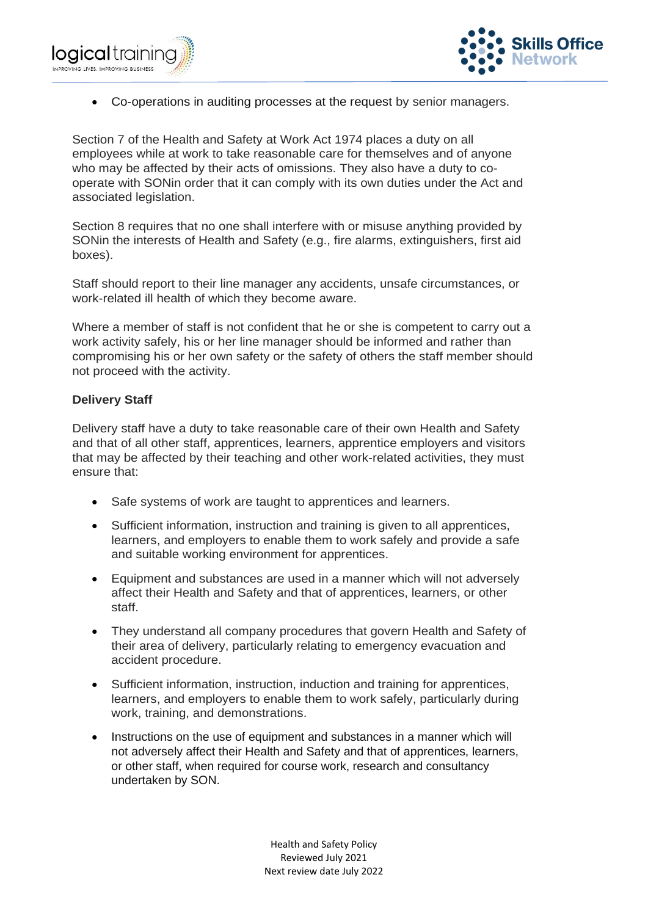



• Co-operations in auditing processes at the request by senior managers.

Section 7 of the Health and Safety at Work Act 1974 places a duty on all employees while at work to take reasonable care for themselves and of anyone who may be affected by their acts of omissions. They also have a duty to cooperate with SONin order that it can comply with its own duties under the Act and associated legislation.

Section 8 requires that no one shall interfere with or misuse anything provided by SONin the interests of Health and Safety (e.g., fire alarms, extinguishers, first aid boxes).

Staff should report to their line manager any accidents, unsafe circumstances, or work-related ill health of which they become aware.

Where a member of staff is not confident that he or she is competent to carry out a work activity safely, his or her line manager should be informed and rather than compromising his or her own safety or the safety of others the staff member should not proceed with the activity.

## **Delivery Staff**

Delivery staff have a duty to take reasonable care of their own Health and Safety and that of all other staff, apprentices, learners, apprentice employers and visitors that may be affected by their teaching and other work-related activities, they must ensure that:

- Safe systems of work are taught to apprentices and learners.
- Sufficient information, instruction and training is given to all apprentices, learners, and employers to enable them to work safely and provide a safe and suitable working environment for apprentices.
- Equipment and substances are used in a manner which will not adversely affect their Health and Safety and that of apprentices, learners, or other staff.
- They understand all company procedures that govern Health and Safety of their area of delivery, particularly relating to emergency evacuation and accident procedure.
- Sufficient information, instruction, induction and training for apprentices, learners, and employers to enable them to work safely, particularly during work, training, and demonstrations.
- Instructions on the use of equipment and substances in a manner which will not adversely affect their Health and Safety and that of apprentices, learners, or other staff, when required for course work, research and consultancy undertaken by SON.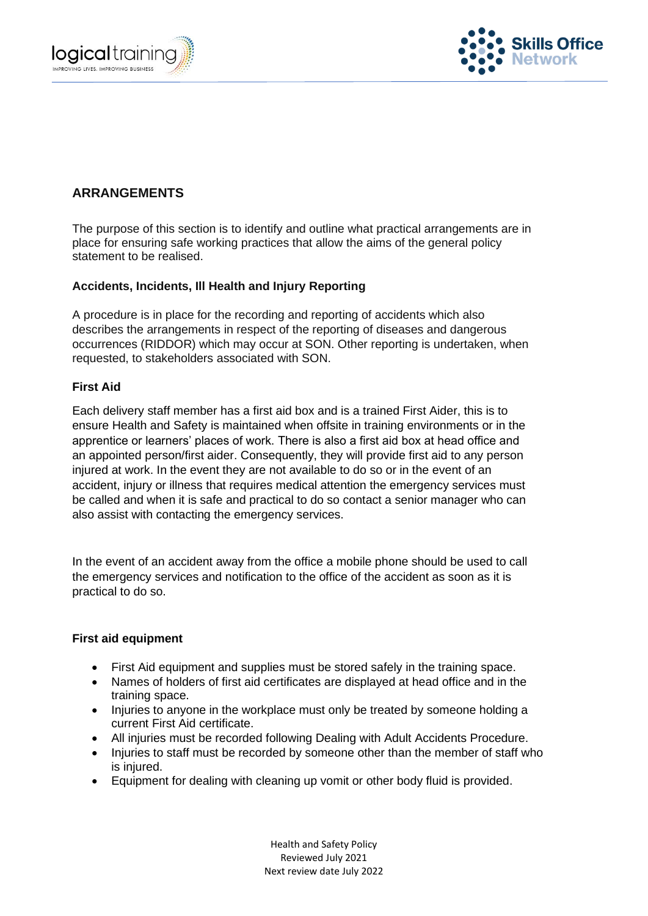



# **ARRANGEMENTS**

The purpose of this section is to identify and outline what practical arrangements are in place for ensuring safe working practices that allow the aims of the general policy statement to be realised.

## **Accidents, Incidents, Ill Health and Injury Reporting**

A procedure is in place for the recording and reporting of accidents which also describes the arrangements in respect of the reporting of diseases and dangerous occurrences (RIDDOR) which may occur at SON. Other reporting is undertaken, when requested, to stakeholders associated with SON.

#### **First Aid**

Each delivery staff member has a first aid box and is a trained First Aider, this is to ensure Health and Safety is maintained when offsite in training environments or in the apprentice or learners' places of work. There is also a first aid box at head office and an appointed person/first aider. Consequently, they will provide first aid to any person injured at work. In the event they are not available to do so or in the event of an accident, injury or illness that requires medical attention the emergency services must be called and when it is safe and practical to do so contact a senior manager who can also assist with contacting the emergency services.

In the event of an accident away from the office a mobile phone should be used to call the emergency services and notification to the office of the accident as soon as it is practical to do so.

## **First aid equipment**

- First Aid equipment and supplies must be stored safely in the training space.
- Names of holders of first aid certificates are displayed at head office and in the training space.
- Injuries to anyone in the workplace must only be treated by someone holding a current First Aid certificate.
- All injuries must be recorded following Dealing with Adult Accidents Procedure.
- Injuries to staff must be recorded by someone other than the member of staff who is injured.
- Equipment for dealing with cleaning up vomit or other body fluid is provided.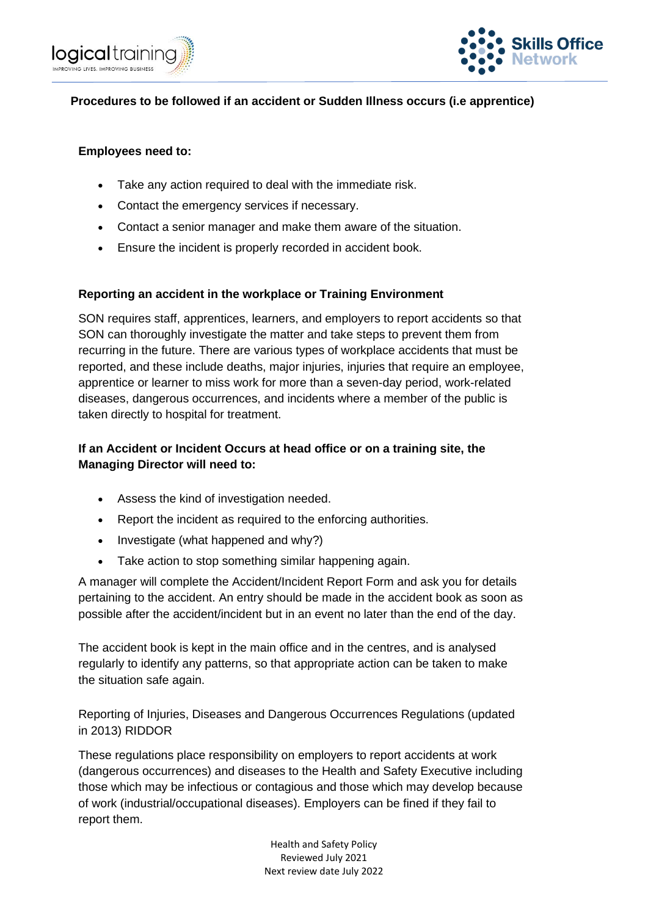



# **Procedures to be followed if an accident or Sudden Illness occurs (i.e apprentice)**

## **Employees need to:**

- Take any action required to deal with the immediate risk.
- Contact the emergency services if necessary.
- Contact a senior manager and make them aware of the situation.
- Ensure the incident is properly recorded in accident book.

## **Reporting an accident in the workplace or Training Environment**

SON requires staff, apprentices, learners, and employers to report accidents so that SON can thoroughly investigate the matter and take steps to prevent them from recurring in the future. There are various types of workplace accidents that must be reported, and these include deaths, major injuries, injuries that require an employee, apprentice or learner to miss work for more than a seven-day period, work-related diseases, dangerous occurrences, and incidents where a member of the public is taken directly to hospital for treatment.

# **If an Accident or Incident Occurs at head office or on a training site, the Managing Director will need to:**

- Assess the kind of investigation needed.
- Report the incident as required to the enforcing authorities.
- Investigate (what happened and why?)
- Take action to stop something similar happening again.

A manager will complete the Accident/Incident Report Form and ask you for details pertaining to the accident. An entry should be made in the accident book as soon as possible after the accident/incident but in an event no later than the end of the day.

The accident book is kept in the main office and in the centres, and is analysed regularly to identify any patterns, so that appropriate action can be taken to make the situation safe again.

Reporting of Injuries, Diseases and Dangerous Occurrences Regulations (updated in 2013) RIDDOR

These regulations place responsibility on employers to report accidents at work (dangerous occurrences) and diseases to the Health and Safety Executive including those which may be infectious or contagious and those which may develop because of work (industrial/occupational diseases). Employers can be fined if they fail to report them.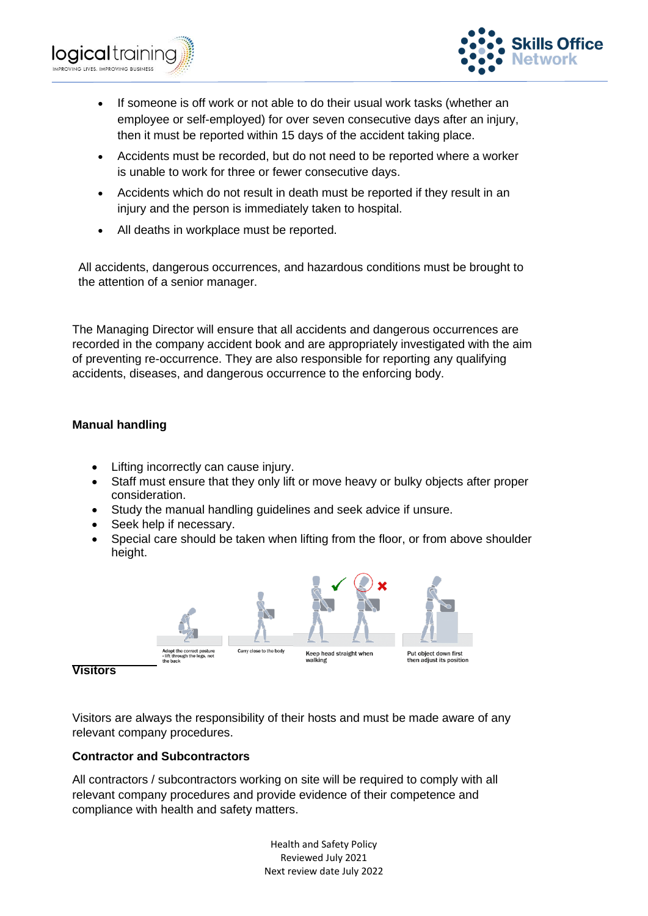

- If someone is off work or not able to do their usual work tasks (whether an employee or self-employed) for over seven consecutive days after an injury, then it must be reported within 15 days of the accident taking place.
- Accidents must be recorded, but do not need to be reported where a worker is unable to work for three or fewer consecutive days.
- Accidents which do not result in death must be reported if they result in an injury and the person is immediately taken to hospital.
- All deaths in workplace must be reported.

All accidents, dangerous occurrences, and hazardous conditions must be brought to the attention of a senior manager.

The Managing Director will ensure that all accidents and dangerous occurrences are recorded in the company accident book and are appropriately investigated with the aim of preventing re-occurrence. They are also responsible for reporting any qualifying accidents, diseases, and dangerous occurrence to the enforcing body.

# **Manual handling**

- Lifting incorrectly can cause injury.
- Staff must ensure that they only lift or move heavy or bulky objects after proper consideration.
- Study the manual handling guidelines and seek advice if unsure.
- Seek help if necessary.
- Special care should be taken when lifting from the floor, or from above shoulder height.



**Visitors**

Visitors are always the responsibility of their hosts and must be made aware of any relevant company procedures.

# **Contractor and Subcontractors**

All contractors / subcontractors working on site will be required to comply with all relevant company procedures and provide evidence of their competence and compliance with health and safety matters.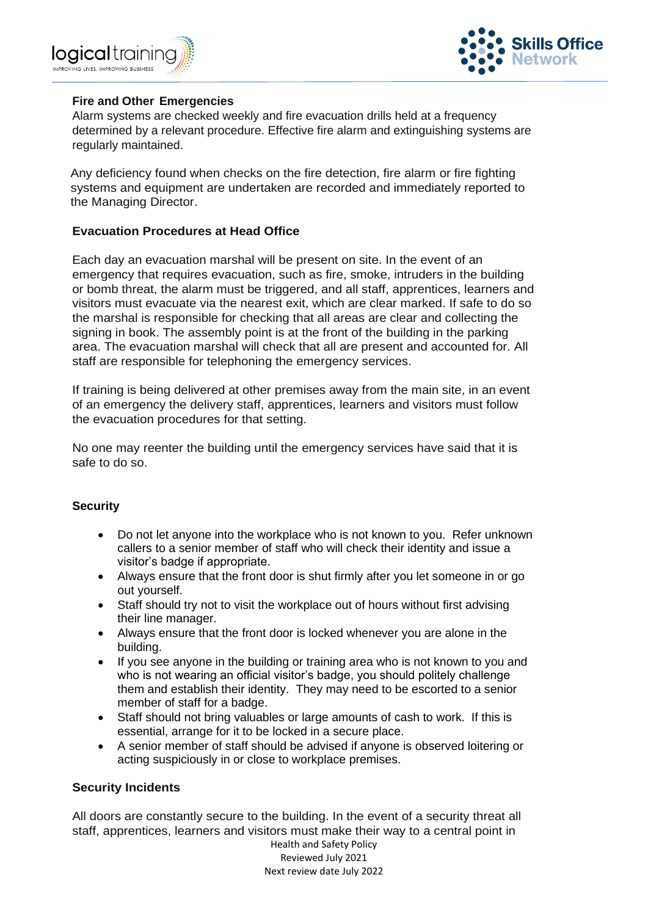



## **Fire and Other Emergencies**

Alarm systems are checked weekly and fire evacuation drills held at a frequency determined by a relevant procedure. Effective fire alarm and extinguishing systems are regularly maintained.

Any deficiency found when checks on the fire detection, fire alarm or fire fighting systems and equipment are undertaken are recorded and immediately reported to the Managing Director.

## **Evacuation Procedures at Head Office**

Each day an evacuation marshal will be present on site. In the event of an emergency that requires evacuation, such as fire, smoke, intruders in the building or bomb threat, the alarm must be triggered, and all staff, apprentices, learners and visitors must evacuate via the nearest exit, which are clear marked. If safe to do so the marshal is responsible for checking that all areas are clear and collecting the signing in book. The assembly point is at the front of the building in the parking area. The evacuation marshal will check that all are present and accounted for. All staff are responsible for telephoning the emergency services.

If training is being delivered at other premises away from the main site, in an event of an emergency the delivery staff, apprentices, learners and visitors must follow the evacuation procedures for that setting.

No one may reenter the building until the emergency services have said that it is safe to do so.

## **Security**

- Do not let anyone into the workplace who is not known to you. Refer unknown callers to a senior member of staff who will check their identity and issue a visitor's badge if appropriate.
- Always ensure that the front door is shut firmly after you let someone in or go out yourself.
- Staff should try not to visit the workplace out of hours without first advising their line manager.
- Always ensure that the front door is locked whenever you are alone in the building.
- If you see anyone in the building or training area who is not known to you and who is not wearing an official visitor's badge, you should politely challenge them and establish their identity. They may need to be escorted to a senior member of staff for a badge.
- Staff should not bring valuables or large amounts of cash to work. If this is essential, arrange for it to be locked in a secure place.
- A senior member of staff should be advised if anyone is observed loitering or acting suspiciously in or close to workplace premises.

# **Security Incidents**

Health and Safety Policy Reviewed July 2021 All doors are constantly secure to the building. In the event of a security threat all staff, apprentices, learners and visitors must make their way to a central point in

Next review date July 2022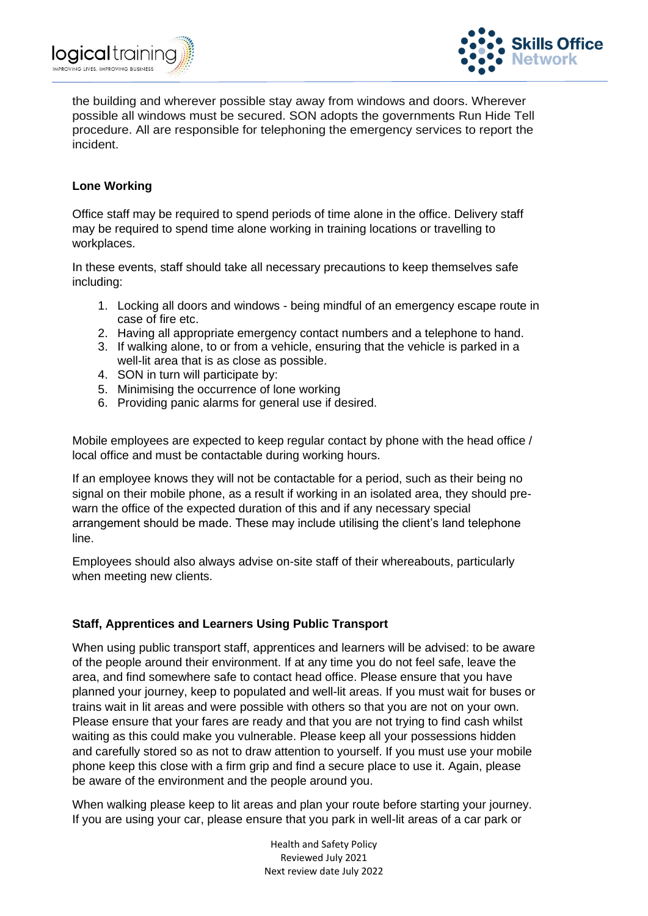



the building and wherever possible stay away from windows and doors. Wherever possible all windows must be secured. SON adopts the governments Run Hide Tell procedure. All are responsible for telephoning the emergency services to report the incident.

## **Lone Working**

Office staff may be required to spend periods of time alone in the office. Delivery staff may be required to spend time alone working in training locations or travelling to workplaces.

In these events, staff should take all necessary precautions to keep themselves safe including:

- 1. Locking all doors and windows being mindful of an emergency escape route in case of fire etc.
- 2. Having all appropriate emergency contact numbers and a telephone to hand.
- 3. If walking alone, to or from a vehicle, ensuring that the vehicle is parked in a well-lit area that is as close as possible.
- 4. SON in turn will participate by:
- 5. Minimising the occurrence of lone working
- 6. Providing panic alarms for general use if desired.

Mobile employees are expected to keep regular contact by phone with the head office / local office and must be contactable during working hours.

If an employee knows they will not be contactable for a period, such as their being no signal on their mobile phone, as a result if working in an isolated area, they should prewarn the office of the expected duration of this and if any necessary special arrangement should be made. These may include utilising the client's land telephone line.

Employees should also always advise on-site staff of their whereabouts, particularly when meeting new clients.

## **Staff, Apprentices and Learners Using Public Transport**

When using public transport staff, apprentices and learners will be advised: to be aware of the people around their environment. If at any time you do not feel safe, leave the area, and find somewhere safe to contact head office. Please ensure that you have planned your journey, keep to populated and well-lit areas. If you must wait for buses or trains wait in lit areas and were possible with others so that you are not on your own. Please ensure that your fares are ready and that you are not trying to find cash whilst waiting as this could make you vulnerable. Please keep all your possessions hidden and carefully stored so as not to draw attention to yourself. If you must use your mobile phone keep this close with a firm grip and find a secure place to use it. Again, please be aware of the environment and the people around you.

When walking please keep to lit areas and plan your route before starting your journey. If you are using your car, please ensure that you park in well-lit areas of a car park or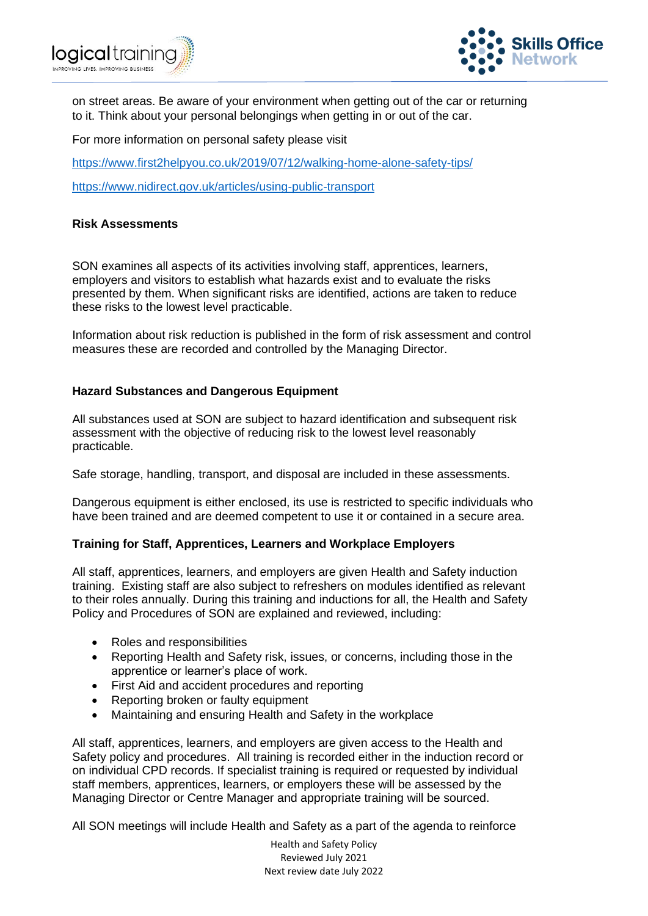



on street areas. Be aware of your environment when getting out of the car or returning to it. Think about your personal belongings when getting in or out of the car.

For more information on personal safety please visit

<https://www.first2helpyou.co.uk/2019/07/12/walking-home-alone-safety-tips/>

<https://www.nidirect.gov.uk/articles/using-public-transport>

#### **Risk Assessments**

SON examines all aspects of its activities involving staff, apprentices, learners, employers and visitors to establish what hazards exist and to evaluate the risks presented by them. When significant risks are identified, actions are taken to reduce these risks to the lowest level practicable.

Information about risk reduction is published in the form of risk assessment and control measures these are recorded and controlled by the Managing Director.

#### **Hazard Substances and Dangerous Equipment**

All substances used at SON are subject to hazard identification and subsequent risk assessment with the objective of reducing risk to the lowest level reasonably practicable.

Safe storage, handling, transport, and disposal are included in these assessments.

Dangerous equipment is either enclosed, its use is restricted to specific individuals who have been trained and are deemed competent to use it or contained in a secure area.

## **Training for Staff, Apprentices, Learners and Workplace Employers**

All staff, apprentices, learners, and employers are given Health and Safety induction training. Existing staff are also subject to refreshers on modules identified as relevant to their roles annually. During this training and inductions for all, the Health and Safety Policy and Procedures of SON are explained and reviewed, including:

- Roles and responsibilities
- Reporting Health and Safety risk, issues, or concerns, including those in the apprentice or learner's place of work.
- First Aid and accident procedures and reporting
- Reporting broken or faulty equipment
- Maintaining and ensuring Health and Safety in the workplace

All staff, apprentices, learners, and employers are given access to the Health and Safety policy and procedures. All training is recorded either in the induction record or on individual CPD records. If specialist training is required or requested by individual staff members, apprentices, learners, or employers these will be assessed by the Managing Director or Centre Manager and appropriate training will be sourced.

All SON meetings will include Health and Safety as a part of the agenda to reinforce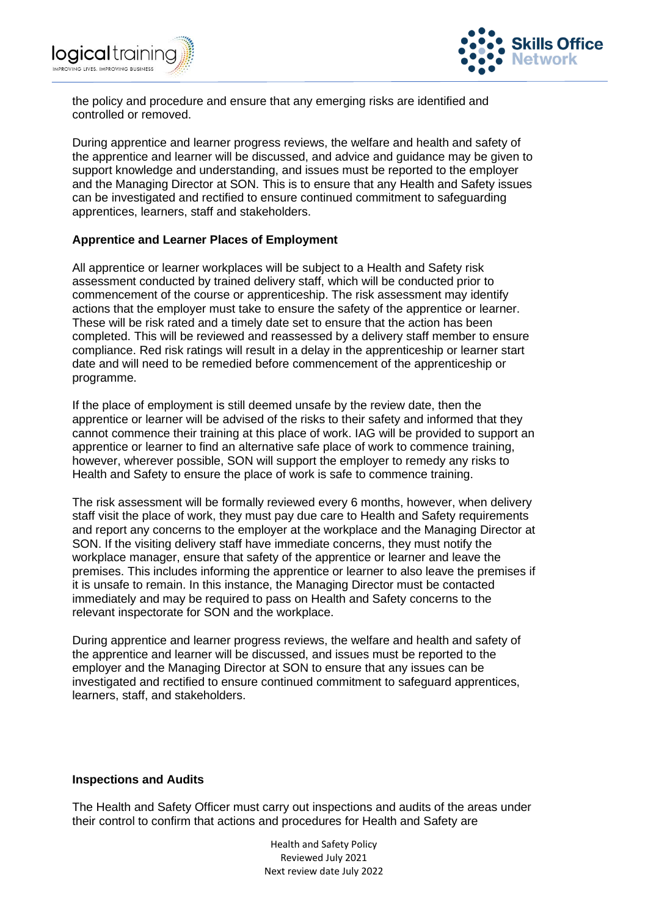



the policy and procedure and ensure that any emerging risks are identified and controlled or removed.

During apprentice and learner progress reviews, the welfare and health and safety of the apprentice and learner will be discussed, and advice and guidance may be given to support knowledge and understanding, and issues must be reported to the employer and the Managing Director at SON. This is to ensure that any Health and Safety issues can be investigated and rectified to ensure continued commitment to safeguarding apprentices, learners, staff and stakeholders.

## **Apprentice and Learner Places of Employment**

All apprentice or learner workplaces will be subject to a Health and Safety risk assessment conducted by trained delivery staff, which will be conducted prior to commencement of the course or apprenticeship. The risk assessment may identify actions that the employer must take to ensure the safety of the apprentice or learner. These will be risk rated and a timely date set to ensure that the action has been completed. This will be reviewed and reassessed by a delivery staff member to ensure compliance. Red risk ratings will result in a delay in the apprenticeship or learner start date and will need to be remedied before commencement of the apprenticeship or programme.

If the place of employment is still deemed unsafe by the review date, then the apprentice or learner will be advised of the risks to their safety and informed that they cannot commence their training at this place of work. IAG will be provided to support an apprentice or learner to find an alternative safe place of work to commence training, however, wherever possible, SON will support the employer to remedy any risks to Health and Safety to ensure the place of work is safe to commence training.

The risk assessment will be formally reviewed every 6 months, however, when delivery staff visit the place of work, they must pay due care to Health and Safety requirements and report any concerns to the employer at the workplace and the Managing Director at SON. If the visiting delivery staff have immediate concerns, they must notify the workplace manager, ensure that safety of the apprentice or learner and leave the premises. This includes informing the apprentice or learner to also leave the premises if it is unsafe to remain. In this instance, the Managing Director must be contacted immediately and may be required to pass on Health and Safety concerns to the relevant inspectorate for SON and the workplace.

During apprentice and learner progress reviews, the welfare and health and safety of the apprentice and learner will be discussed, and issues must be reported to the employer and the Managing Director at SON to ensure that any issues can be investigated and rectified to ensure continued commitment to safeguard apprentices, learners, staff, and stakeholders.

#### **Inspections and Audits**

The Health and Safety Officer must carry out inspections and audits of the areas under their control to confirm that actions and procedures for Health and Safety are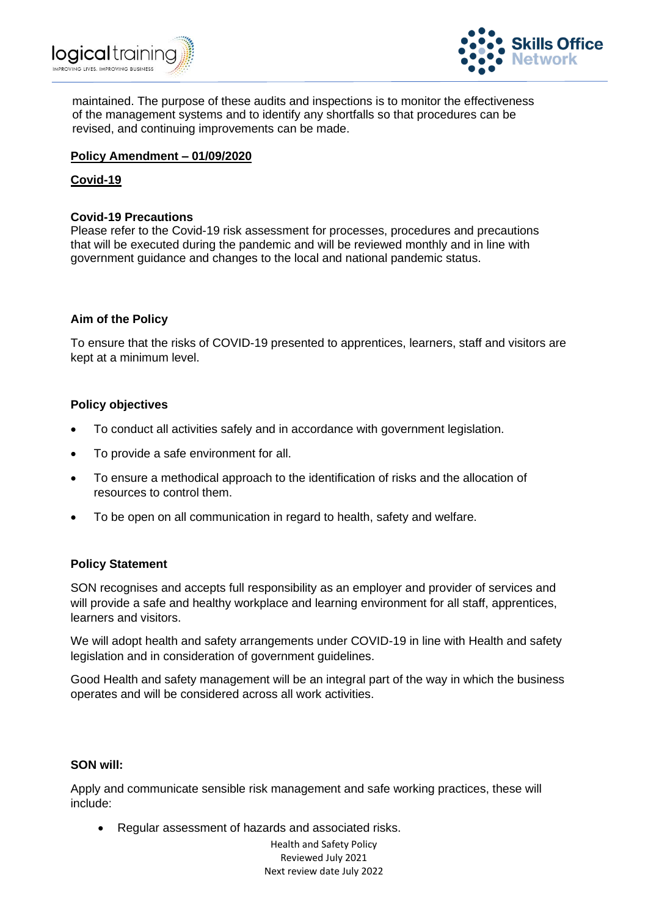



maintained. The purpose of these audits and inspections is to monitor the effectiveness of the management systems and to identify any shortfalls so that procedures can be revised, and continuing improvements can be made.

## **Policy Amendment – 01/09/2020**

## **Covid-19**

#### **Covid-19 Precautions**

Please refer to the Covid-19 risk assessment for processes, procedures and precautions that will be executed during the pandemic and will be reviewed monthly and in line with government guidance and changes to the local and national pandemic status.

## **Aim of the Policy**

To ensure that the risks of COVID-19 presented to apprentices, learners, staff and visitors are kept at a minimum level.

#### **Policy objectives**

- To conduct all activities safely and in accordance with government legislation.
- To provide a safe environment for all.
- To ensure a methodical approach to the identification of risks and the allocation of resources to control them.
- To be open on all communication in regard to health, safety and welfare.

## **Policy Statement**

SON recognises and accepts full responsibility as an employer and provider of services and will provide a safe and healthy workplace and learning environment for all staff, apprentices, learners and visitors.

We will adopt health and safety arrangements under COVID-19 in line with Health and safety legislation and in consideration of government guidelines.

Good Health and safety management will be an integral part of the way in which the business operates and will be considered across all work activities.

#### **SON will:**

Apply and communicate sensible risk management and safe working practices, these will include:

• Regular assessment of hazards and associated risks.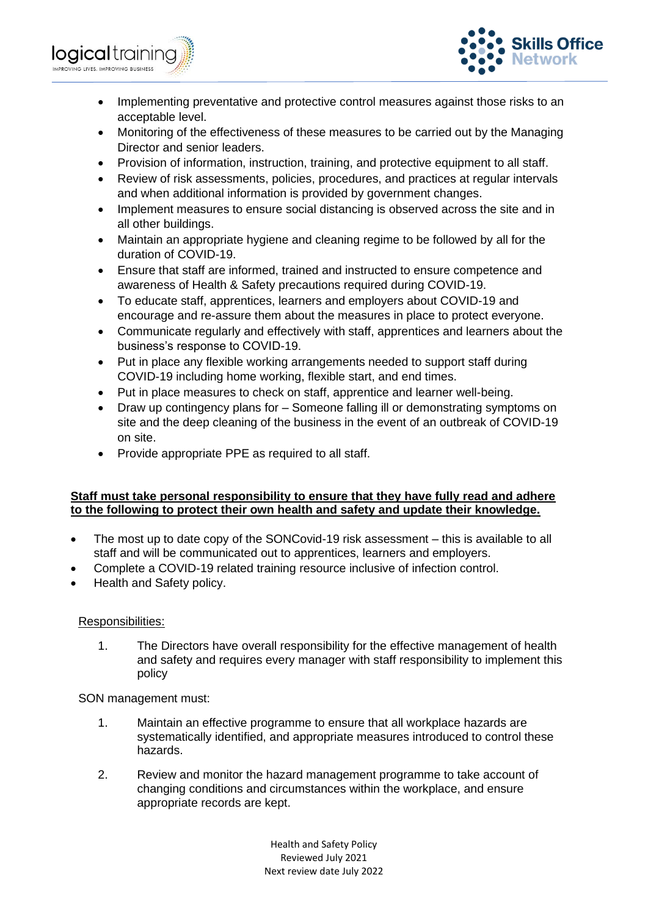



- Implementing preventative and protective control measures against those risks to an acceptable level.
- Monitoring of the effectiveness of these measures to be carried out by the Managing Director and senior leaders.
- Provision of information, instruction, training, and protective equipment to all staff.
- Review of risk assessments, policies, procedures, and practices at regular intervals and when additional information is provided by government changes.
- Implement measures to ensure social distancing is observed across the site and in all other buildings.
- Maintain an appropriate hygiene and cleaning regime to be followed by all for the duration of COVID-19.
- Ensure that staff are informed, trained and instructed to ensure competence and awareness of Health & Safety precautions required during COVID-19.
- To educate staff, apprentices, learners and employers about COVID-19 and encourage and re-assure them about the measures in place to protect everyone.
- Communicate regularly and effectively with staff, apprentices and learners about the business's response to COVID-19.
- Put in place any flexible working arrangements needed to support staff during COVID-19 including home working, flexible start, and end times.
- Put in place measures to check on staff, apprentice and learner well-being.
- Draw up contingency plans for Someone falling ill or demonstrating symptoms on site and the deep cleaning of the business in the event of an outbreak of COVID-19 on site.
- Provide appropriate PPE as required to all staff.

## **Staff must take personal responsibility to ensure that they have fully read and adhere to the following to protect their own health and safety and update their knowledge.**

- The most up to date copy of the SONCovid-19 risk assessment this is available to all staff and will be communicated out to apprentices, learners and employers.
- Complete a COVID-19 related training resource inclusive of infection control.
- Health and Safety policy.

# Responsibilities:

1. The Directors have overall responsibility for the effective management of health and safety and requires every manager with staff responsibility to implement this policy

SON management must:

- 1. Maintain an effective programme to ensure that all workplace hazards are systematically identified, and appropriate measures introduced to control these hazards.
- 2. Review and monitor the hazard management programme to take account of changing conditions and circumstances within the workplace, and ensure appropriate records are kept.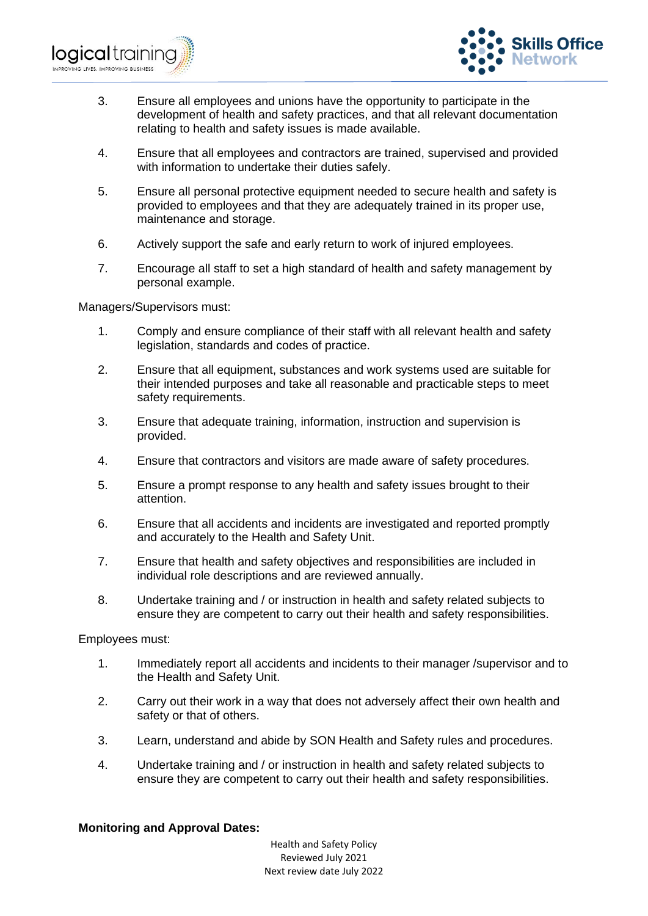



- 3. Ensure all employees and unions have the opportunity to participate in the development of health and safety practices, and that all relevant documentation relating to health and safety issues is made available.
- 4. Ensure that all employees and contractors are trained, supervised and provided with information to undertake their duties safely.
- 5. Ensure all personal protective equipment needed to secure health and safety is provided to employees and that they are adequately trained in its proper use, maintenance and storage.
- 6. Actively support the safe and early return to work of injured employees.
- 7. Encourage all staff to set a high standard of health and safety management by personal example.

Managers/Supervisors must:

- 1. Comply and ensure compliance of their staff with all relevant health and safety legislation, standards and codes of practice.
- 2. Ensure that all equipment, substances and work systems used are suitable for their intended purposes and take all reasonable and practicable steps to meet safety requirements.
- 3. Ensure that adequate training, information, instruction and supervision is provided.
- 4. Ensure that contractors and visitors are made aware of safety procedures.
- 5. Ensure a prompt response to any health and safety issues brought to their attention.
- 6. Ensure that all accidents and incidents are investigated and reported promptly and accurately to the Health and Safety Unit.
- 7. Ensure that health and safety objectives and responsibilities are included in individual role descriptions and are reviewed annually.
- 8. Undertake training and / or instruction in health and safety related subjects to ensure they are competent to carry out their health and safety responsibilities.

Employees must:

- 1. Immediately report all accidents and incidents to their manager /supervisor and to the Health and Safety Unit.
- 2. Carry out their work in a way that does not adversely affect their own health and safety or that of others.
- 3. Learn, understand and abide by SON Health and Safety rules and procedures.
- 4. Undertake training and / or instruction in health and safety related subjects to ensure they are competent to carry out their health and safety responsibilities.

## **Monitoring and Approval Dates:**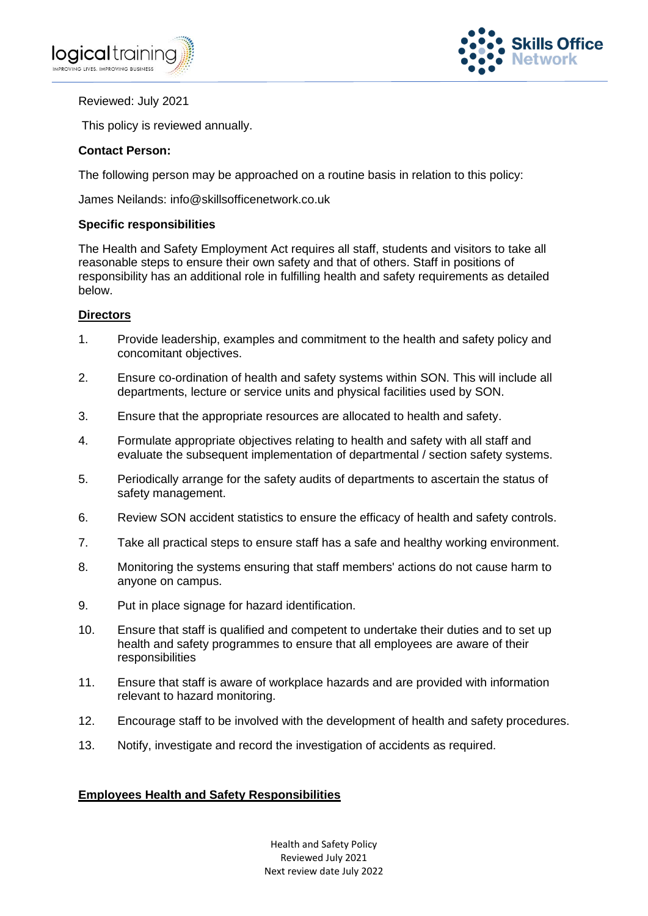



## Reviewed: July 2021

This policy is reviewed annually.

## **Contact Person:**

The following person may be approached on a routine basis in relation to this policy:

James Neilands: info@skillsofficenetwork.co.uk

## **Specific responsibilities**

The Health and Safety Employment Act requires all staff, students and visitors to take all reasonable steps to ensure their own safety and that of others. Staff in positions of responsibility has an additional role in fulfilling health and safety requirements as detailed below.

## **Directors**

- 1. Provide leadership, examples and commitment to the health and safety policy and concomitant objectives.
- 2. Ensure co-ordination of health and safety systems within SON. This will include all departments, lecture or service units and physical facilities used by SON.
- 3. Ensure that the appropriate resources are allocated to health and safety.
- 4. Formulate appropriate objectives relating to health and safety with all staff and evaluate the subsequent implementation of departmental / section safety systems.
- 5. Periodically arrange for the safety audits of departments to ascertain the status of safety management.
- 6. Review SON accident statistics to ensure the efficacy of health and safety controls.
- 7. Take all practical steps to ensure staff has a safe and healthy working environment.
- 8. Monitoring the systems ensuring that staff members' actions do not cause harm to anyone on campus.
- 9. Put in place signage for hazard identification.
- 10. Ensure that staff is qualified and competent to undertake their duties and to set up health and safety programmes to ensure that all employees are aware of their responsibilities
- 11. Ensure that staff is aware of workplace hazards and are provided with information relevant to hazard monitoring.
- 12. Encourage staff to be involved with the development of health and safety procedures.
- 13. Notify, investigate and record the investigation of accidents as required.

## **Employees Health and Safety Responsibilities**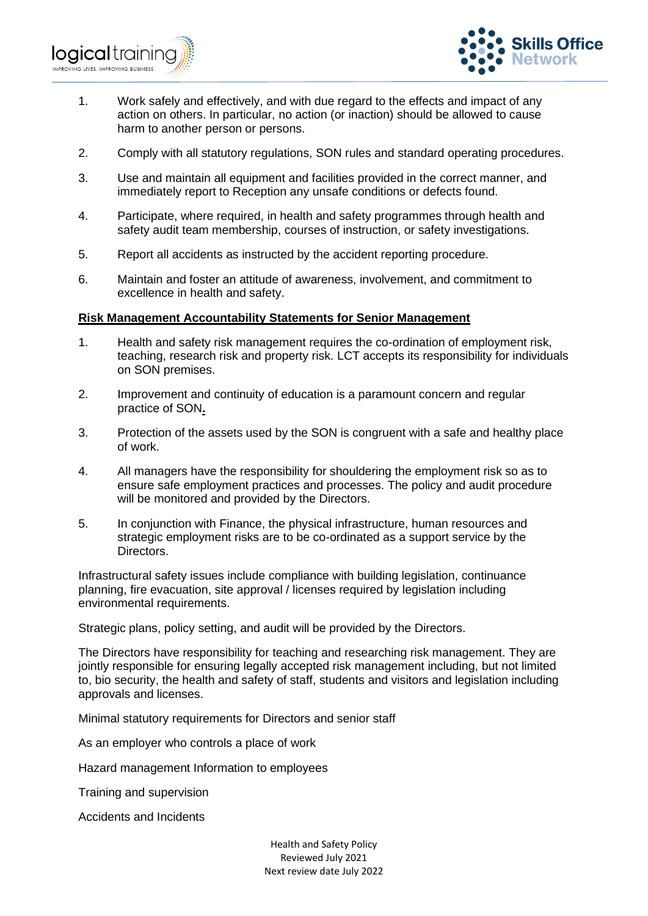

- 1. Work safely and effectively, and with due regard to the effects and impact of any action on others. In particular, no action (or inaction) should be allowed to cause harm to another person or persons.
- 2. Comply with all statutory regulations, SON rules and standard operating procedures.
- 3. Use and maintain all equipment and facilities provided in the correct manner, and immediately report to Reception any unsafe conditions or defects found.
- 4. Participate, where required, in health and safety programmes through health and safety audit team membership, courses of instruction, or safety investigations.
- 5. Report all accidents as instructed by the accident reporting procedure.
- 6. Maintain and foster an attitude of awareness, involvement, and commitment to excellence in health and safety.

#### **Risk Management Accountability Statements for Senior Management**

- 1. Health and safety risk management requires the co-ordination of employment risk, teaching, research risk and property risk. LCT accepts its responsibility for individuals on SON premises.
- 2. Improvement and continuity of education is a paramount concern and regular practice of SON**.**
- 3. Protection of the assets used by the SON is congruent with a safe and healthy place of work.
- 4. All managers have the responsibility for shouldering the employment risk so as to ensure safe employment practices and processes. The policy and audit procedure will be monitored and provided by the Directors.
- 5. In conjunction with Finance, the physical infrastructure, human resources and strategic employment risks are to be co-ordinated as a support service by the Directors.

Infrastructural safety issues include compliance with building legislation, continuance planning, fire evacuation, site approval / licenses required by legislation including environmental requirements.

Strategic plans, policy setting, and audit will be provided by the Directors.

The Directors have responsibility for teaching and researching risk management. They are jointly responsible for ensuring legally accepted risk management including, but not limited to, bio security, the health and safety of staff, students and visitors and legislation including approvals and licenses.

Minimal statutory requirements for Directors and senior staff

As an employer who controls a place of work

Hazard management Information to employees

Training and supervision

Accidents and Incidents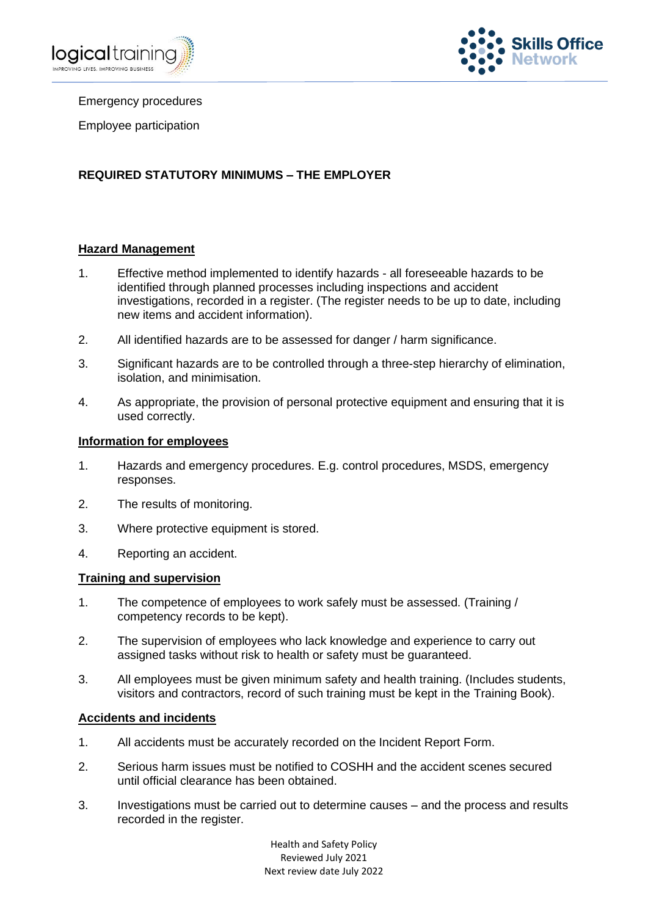



## Emergency procedures

Employee participation

# **REQUIRED STATUTORY MINIMUMS – THE EMPLOYER**

## **Hazard Management**

- 1. Effective method implemented to identify hazards all foreseeable hazards to be identified through planned processes including inspections and accident investigations, recorded in a register. (The register needs to be up to date, including new items and accident information).
- 2. All identified hazards are to be assessed for danger / harm significance.
- 3. Significant hazards are to be controlled through a three-step hierarchy of elimination, isolation, and minimisation.
- 4. As appropriate, the provision of personal protective equipment and ensuring that it is used correctly.

#### **Information for employees**

- 1. Hazards and emergency procedures. E.g. control procedures, MSDS, emergency responses.
- 2. The results of monitoring.
- 3. Where protective equipment is stored.
- 4. Reporting an accident.

## **Training and supervision**

- 1. The competence of employees to work safely must be assessed. (Training / competency records to be kept).
- 2. The supervision of employees who lack knowledge and experience to carry out assigned tasks without risk to health or safety must be guaranteed.
- 3. All employees must be given minimum safety and health training. (Includes students, visitors and contractors, record of such training must be kept in the Training Book).

#### **Accidents and incidents**

- 1. All accidents must be accurately recorded on the Incident Report Form.
- 2. Serious harm issues must be notified to COSHH and the accident scenes secured until official clearance has been obtained.
- 3. Investigations must be carried out to determine causes and the process and results recorded in the register.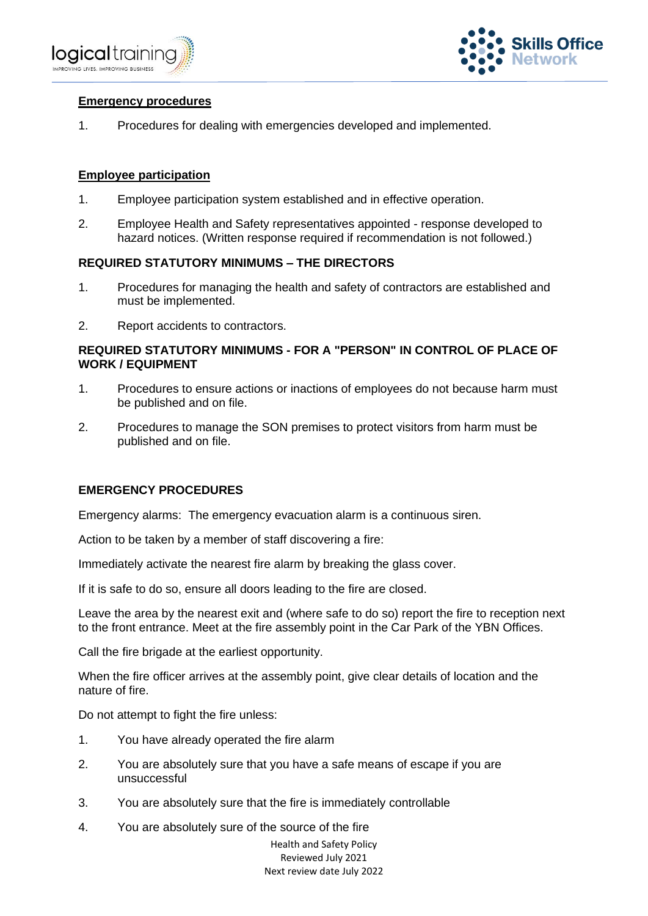



## **Emergency procedures**

1. Procedures for dealing with emergencies developed and implemented.

## **Employee participation**

- 1. Employee participation system established and in effective operation.
- 2. Employee Health and Safety representatives appointed response developed to hazard notices. (Written response required if recommendation is not followed.)

## **REQUIRED STATUTORY MINIMUMS – THE DIRECTORS**

- 1. Procedures for managing the health and safety of contractors are established and must be implemented.
- 2. Report accidents to contractors.

## **REQUIRED STATUTORY MINIMUMS - FOR A "PERSON" IN CONTROL OF PLACE OF WORK / EQUIPMENT**

- 1. Procedures to ensure actions or inactions of employees do not because harm must be published and on file.
- 2. Procedures to manage the SON premises to protect visitors from harm must be published and on file.

## **EMERGENCY PROCEDURES**

Emergency alarms: The emergency evacuation alarm is a continuous siren.

Action to be taken by a member of staff discovering a fire:

Immediately activate the nearest fire alarm by breaking the glass cover.

If it is safe to do so, ensure all doors leading to the fire are closed.

Leave the area by the nearest exit and (where safe to do so) report the fire to reception next to the front entrance. Meet at the fire assembly point in the Car Park of the YBN Offices.

Call the fire brigade at the earliest opportunity.

When the fire officer arrives at the assembly point, give clear details of location and the nature of fire.

Do not attempt to fight the fire unless:

- 1. You have already operated the fire alarm
- 2. You are absolutely sure that you have a safe means of escape if you are unsuccessful
- 3. You are absolutely sure that the fire is immediately controllable
- 4. You are absolutely sure of the source of the fire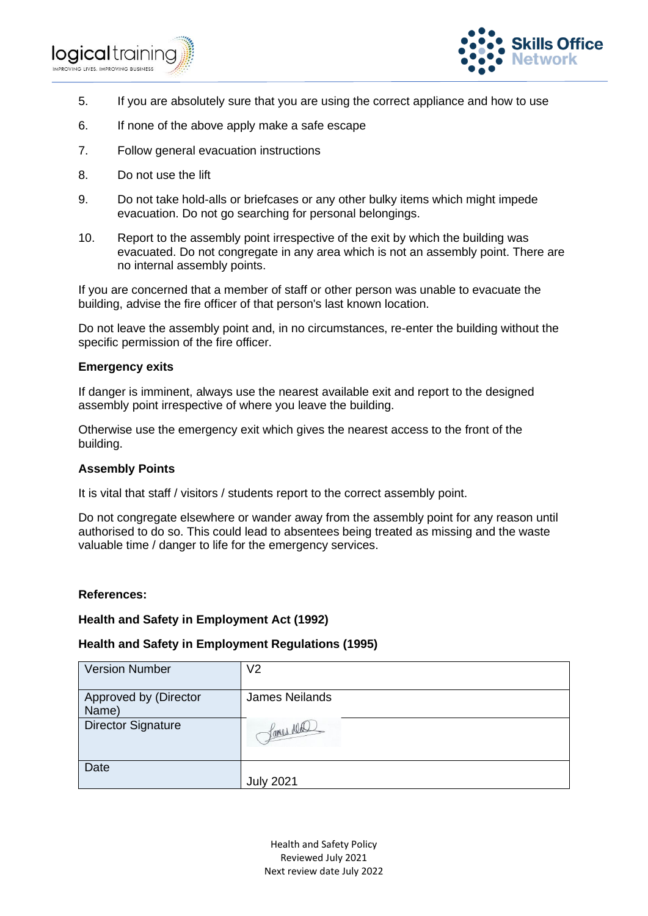



- 5. If you are absolutely sure that you are using the correct appliance and how to use
- 6. If none of the above apply make a safe escape
- 7. Follow general evacuation instructions
- 8. Do not use the lift
- 9. Do not take hold-alls or briefcases or any other bulky items which might impede evacuation. Do not go searching for personal belongings.
- 10. Report to the assembly point irrespective of the exit by which the building was evacuated. Do not congregate in any area which is not an assembly point. There are no internal assembly points.

If you are concerned that a member of staff or other person was unable to evacuate the building, advise the fire officer of that person's last known location.

Do not leave the assembly point and, in no circumstances, re-enter the building without the specific permission of the fire officer.

#### **Emergency exits**

If danger is imminent, always use the nearest available exit and report to the designed assembly point irrespective of where you leave the building.

Otherwise use the emergency exit which gives the nearest access to the front of the building.

#### **Assembly Points**

It is vital that staff / visitors / students report to the correct assembly point.

Do not congregate elsewhere or wander away from the assembly point for any reason until authorised to do so. This could lead to absentees being treated as missing and the waste valuable time / danger to life for the emergency services.

#### **References:**

## **Health and Safety in Employment Act (1992)**

#### **Health and Safety in Employment Regulations (1995)**

| <b>Version Number</b>          | V <sub>2</sub>        |
|--------------------------------|-----------------------|
| Approved by (Director<br>Name) | <b>James Neilands</b> |
| <b>Director Signature</b>      | Janes Del             |
| Date                           | <b>July 2021</b>      |